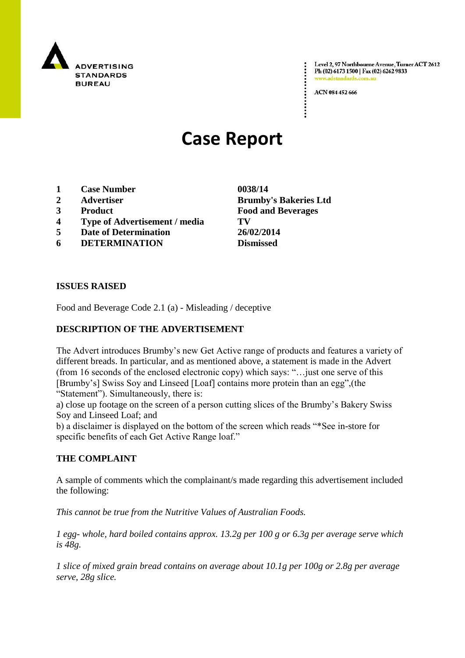

Level 2, 97 Northbourne Avenue, Turner ACT 2612 Ph (02) 6173 1500 | Fax (02) 6262 9833 .adstandards.c

ACN 084 452 666

# **Case Report**

- **1 Case Number 0038/14**
- 
- 
- **4 Type of Advertisement / media TV**
- **5 Date of Determination 26/02/2014**
- **6 DETERMINATION Dismissed**

**ISSUES RAISED**

Food and Beverage Code 2.1 (a) - Misleading / deceptive

## **DESCRIPTION OF THE ADVERTISEMENT**

The Advert introduces Brumby"s new Get Active range of products and features a variety of different breads. In particular, and as mentioned above, a statement is made in the Advert (from 16 seconds of the enclosed electronic copy) which says: "…just one serve of this [Brumby"s] Swiss Soy and Linseed [Loaf] contains more protein than an egg",(the "Statement"). Simultaneously, there is:

a) close up footage on the screen of a person cutting slices of the Brumby"s Bakery Swiss Soy and Linseed Loaf; and

b) a disclaimer is displayed on the bottom of the screen which reads "\*See in-store for specific benefits of each Get Active Range loaf."

### **THE COMPLAINT**

A sample of comments which the complainant/s made regarding this advertisement included the following:

*This cannot be true from the Nutritive Values of Australian Foods.*

*1 egg- whole, hard boiled contains approx. 13.2g per 100 g or 6.3g per average serve which is 48g.* 

*1 slice of mixed grain bread contains on average about 10.1g per 100g or 2.8g per average serve, 28g slice.* 

**2 Advertiser Brumby's Bakeries Ltd 3 Product Food and Beverages**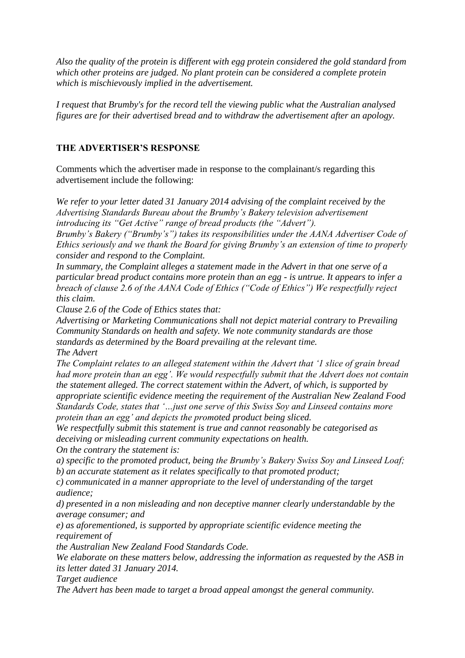*Also the quality of the protein is different with egg protein considered the gold standard from which other proteins are judged. No plant protein can be considered a complete protein which is mischievously implied in the advertisement.*

*I request that Brumby's for the record tell the viewing public what the Australian analysed figures are for their advertised bread and to withdraw the advertisement after an apology.*

#### **THE ADVERTISER'S RESPONSE**

Comments which the advertiser made in response to the complainant/s regarding this advertisement include the following:

*We refer to your letter dated 31 January 2014 advising of the complaint received by the Advertising Standards Bureau about the Brumby"s Bakery television advertisement introducing its "Get Active" range of bread products (the "Advert").*

*Brumby"s Bakery ("Brumby"s") takes its responsibilities under the AANA Advertiser Code of Ethics seriously and we thank the Board for giving Brumby"s an extension of time to properly consider and respond to the Complaint.*

*In summary, the Complaint alleges a statement made in the Advert in that one serve of a particular bread product contains more protein than an egg - is untrue. It appears to infer a breach of clause 2.6 of the AANA Code of Ethics ("Code of Ethics") We respectfully reject this claim.*

*Clause 2.6 of the Code of Ethics states that:*

*Advertising or Marketing Communications shall not depict material contrary to Prevailing Community Standards on health and safety. We note community standards are those standards as determined by the Board prevailing at the relevant time. The Advert*

*The Complaint relates to an alleged statement within the Advert that "1 slice of grain bread had more protein than an egg". We would respectfully submit that the Advert does not contain the statement alleged. The correct statement within the Advert, of which, is supported by appropriate scientific evidence meeting the requirement of the Australian New Zealand Food Standards Code, states that "…just one serve of this Swiss Soy and Linseed contains more protein than an egg" and depicts the promoted product being sliced.*

*We respectfully submit this statement is true and cannot reasonably be categorised as deceiving or misleading current community expectations on health.*

*On the contrary the statement is:*

*a) specific to the promoted product, being the Brumby"s Bakery Swiss Soy and Linseed Loaf; b) an accurate statement as it relates specifically to that promoted product;*

*c) communicated in a manner appropriate to the level of understanding of the target audience;*

*d) presented in a non misleading and non deceptive manner clearly understandable by the average consumer; and*

*e) as aforementioned, is supported by appropriate scientific evidence meeting the requirement of*

*the Australian New Zealand Food Standards Code.*

*We elaborate on these matters below, addressing the information as requested by the ASB in its letter dated 31 January 2014.*

*Target audience*

*The Advert has been made to target a broad appeal amongst the general community.*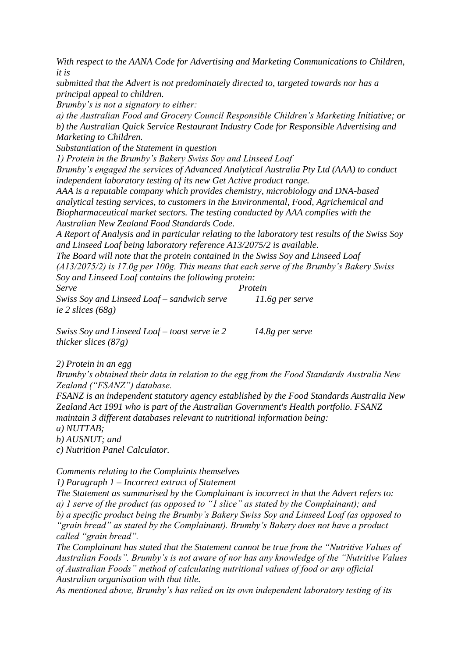*With respect to the AANA Code for Advertising and Marketing Communications to Children, it is*

*submitted that the Advert is not predominately directed to, targeted towards nor has a principal appeal to children.*

*Brumby"s is not a signatory to either:*

*a) the Australian Food and Grocery Council Responsible Children"s Marketing Initiative; or b) the Australian Quick Service Restaurant Industry Code for Responsible Advertising and Marketing to Children.*

*Substantiation of the Statement in question*

*1) Protein in the Brumby"s Bakery Swiss Soy and Linseed Loaf*

*Brumby"s engaged the services of Advanced Analytical Australia Pty Ltd (AAA) to conduct independent laboratory testing of its new Get Active product range.*

*AAA is a reputable company which provides chemistry, microbiology and DNA-based analytical testing services, to customers in the Environmental, Food, Agrichemical and Biopharmaceutical market sectors. The testing conducted by AAA complies with the Australian New Zealand Food Standards Code.*

*A Report of Analysis and in particular relating to the laboratory test results of the Swiss Soy and Linseed Loaf being laboratory reference A13/2075/2 is available.*

*The Board will note that the protein contained in the Swiss Soy and Linseed Loaf (A13/2075/2) is 17.0g per 100g. This means that each serve of the Brumby"s Bakery Swiss Soy and Linseed Loaf contains the following protein:*

*Serve Protein Swiss Soy and Linseed Loaf – sandwich serve 11.6g per serve ie 2 slices (68g)*

*Swiss Soy and Linseed Loaf – toast serve ie 2 14.8g per serve thicker slices (87g)*

*2) Protein in an egg*

*Brumby"s obtained their data in relation to the egg from the Food Standards Australia New Zealand ("FSANZ") database.*

*FSANZ is an independent statutory agency established by the Food Standards Australia New Zealand Act 1991 who is part of the Australian Government's Health portfolio. FSANZ maintain 3 different databases relevant to nutritional information being: a) NUTTAB;*

*b) AUSNUT; and*

*c) Nutrition Panel Calculator.*

*Comments relating to the Complaints themselves*

*1) Paragraph 1 – Incorrect extract of Statement*

*The Statement as summarised by the Complainant is incorrect in that the Advert refers to: a) 1 serve of the product (as opposed to "1 slice" as stated by the Complainant); and b) a specific product being the Brumby"s Bakery Swiss Soy and Linseed Loaf (as opposed to "grain bread" as stated by the Complainant). Brumby"s Bakery does not have a product called "grain bread".*

*The Complainant has stated that the Statement cannot be true from the "Nutritive Values of Australian Foods". Brumby"s is not aware of nor has any knowledge of the "Nutritive Values of Australian Foods" method of calculating nutritional values of food or any official Australian organisation with that title.*

*As mentioned above, Brumby"s has relied on its own independent laboratory testing of its*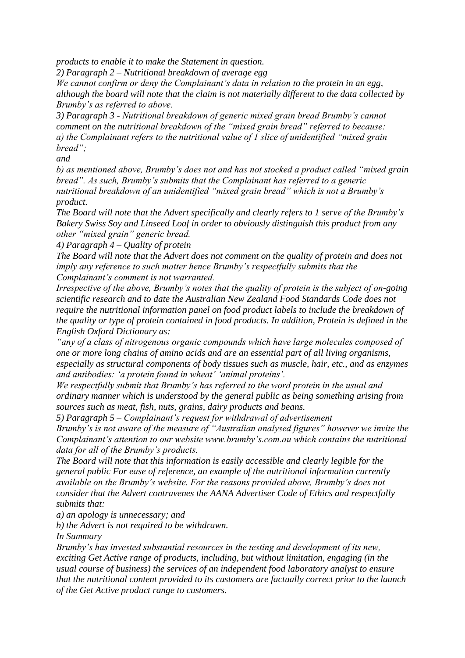*products to enable it to make the Statement in question.*

*2) Paragraph 2 – Nutritional breakdown of average egg*

*We cannot confirm or deny the Complainant"s data in relation to the protein in an egg, although the board will note that the claim is not materially different to the data collected by Brumby"s as referred to above.*

*3) Paragraph 3 - Nutritional breakdown of generic mixed grain bread Brumby"s cannot comment on the nutritional breakdown of the "mixed grain bread" referred to because: a) the Complainant refers to the nutritional value of 1 slice of unidentified "mixed grain bread";*

*and*

*b) as mentioned above, Brumby"s does not and has not stocked a product called "mixed grain bread". As such, Brumby"s submits that the Complainant has referred to a generic nutritional breakdown of an unidentified "mixed grain bread" which is not a Brumby"s product.*

*The Board will note that the Advert specifically and clearly refers to 1 serve of the Brumby"s Bakery Swiss Soy and Linseed Loaf in order to obviously distinguish this product from any other "mixed grain" generic bread.*

*4) Paragraph 4 – Quality of protein*

*The Board will note that the Advert does not comment on the quality of protein and does not imply any reference to such matter hence Brumby"s respectfully submits that the Complainant"s comment is not warranted.*

*Irrespective of the above, Brumby"s notes that the quality of protein is the subject of on-going scientific research and to date the Australian New Zealand Food Standards Code does not require the nutritional information panel on food product labels to include the breakdown of the quality or type of protein contained in food products. In addition, Protein is defined in the English Oxford Dictionary as:*

*"any of a class of nitrogenous organic compounds which have large molecules composed of one or more long chains of amino acids and are an essential part of all living organisms, especially as structural components of body tissues such as muscle, hair, etc., and as enzymes and antibodies: "a protein found in wheat" "animal proteins".*

*We respectfully submit that Brumby"s has referred to the word protein in the usual and ordinary manner which is understood by the general public as being something arising from sources such as meat, fish, nuts, grains, dairy products and beans.*

*5) Paragraph 5 – Complainant"s request for withdrawal of advertisement*

*Brumby"s is not aware of the measure of "Australian analysed figures" however we invite the Complainant"s attention to our website www.brumby"s.com.au which contains the nutritional data for all of the Brumby"s products.*

*The Board will note that this information is easily accessible and clearly legible for the general public For ease of reference, an example of the nutritional information currently available on the Brumby"s website. For the reasons provided above, Brumby"s does not consider that the Advert contravenes the AANA Advertiser Code of Ethics and respectfully submits that:*

*a) an apology is unnecessary; and*

*b) the Advert is not required to be withdrawn.*

*In Summary*

*Brumby"s has invested substantial resources in the testing and development of its new, exciting Get Active range of products, including, but without limitation, engaging (in the usual course of business) the services of an independent food laboratory analyst to ensure that the nutritional content provided to its customers are factually correct prior to the launch of the Get Active product range to customers.*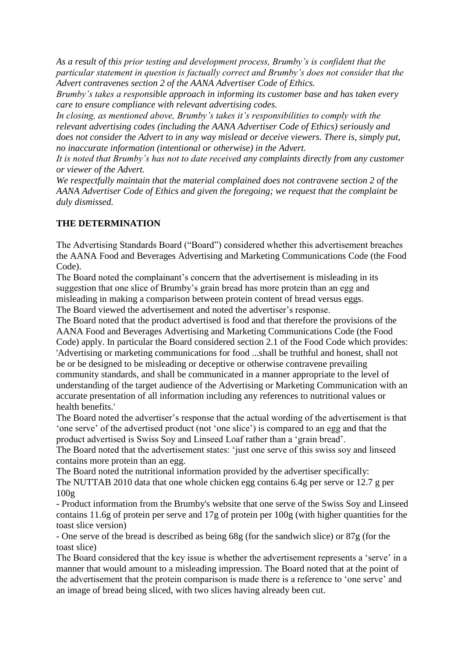*As a result of this prior testing and development process, Brumby"s is confident that the particular statement in question is factually correct and Brumby"s does not consider that the Advert contravenes section 2 of the AANA Advertiser Code of Ethics.*

*Brumby"s takes a responsible approach in informing its customer base and has taken every care to ensure compliance with relevant advertising codes.*

*In closing, as mentioned above, Brumby"s takes it"s responsibilities to comply with the relevant advertising codes (including the AANA Advertiser Code of Ethics) seriously and does not consider the Advert to in any way mislead or deceive viewers. There is, simply put, no inaccurate information (intentional or otherwise) in the Advert.*

*It is noted that Brumby"s has not to date received any complaints directly from any customer or viewer of the Advert.*

*We respectfully maintain that the material complained does not contravene section 2 of the AANA Advertiser Code of Ethics and given the foregoing; we request that the complaint be duly dismissed.*

### **THE DETERMINATION**

The Advertising Standards Board ("Board") considered whether this advertisement breaches the AANA Food and Beverages Advertising and Marketing Communications Code (the Food Code).

The Board noted the complainant's concern that the advertisement is misleading in its suggestion that one slice of Brumby"s grain bread has more protein than an egg and misleading in making a comparison between protein content of bread versus eggs. The Board viewed the advertisement and noted the advertiser"s response.

The Board noted that the product advertised is food and that therefore the provisions of the AANA Food and Beverages Advertising and Marketing Communications Code (the Food Code) apply. In particular the Board considered section 2.1 of the Food Code which provides: 'Advertising or marketing communications for food ...shall be truthful and honest, shall not be or be designed to be misleading or deceptive or otherwise contravene prevailing community standards, and shall be communicated in a manner appropriate to the level of understanding of the target audience of the Advertising or Marketing Communication with an accurate presentation of all information including any references to nutritional values or health benefits.'

The Board noted the advertiser"s response that the actual wording of the advertisement is that "one serve" of the advertised product (not "one slice") is compared to an egg and that the product advertised is Swiss Soy and Linseed Loaf rather than a "grain bread".

The Board noted that the advertisement states: "just one serve of this swiss soy and linseed contains more protein than an egg.

The Board noted the nutritional information provided by the advertiser specifically: The NUTTAB 2010 data that one whole chicken egg contains 6.4g per serve or 12.7 g per  $100g$ 

- Product information from the Brumby's website that one serve of the Swiss Soy and Linseed contains 11.6g of protein per serve and 17g of protein per 100g (with higher quantities for the toast slice version)

- One serve of the bread is described as being 68g (for the sandwich slice) or 87g (for the toast slice)

The Board considered that the key issue is whether the advertisement represents a "serve" in a manner that would amount to a misleading impression. The Board noted that at the point of the advertisement that the protein comparison is made there is a reference to "one serve" and an image of bread being sliced, with two slices having already been cut.